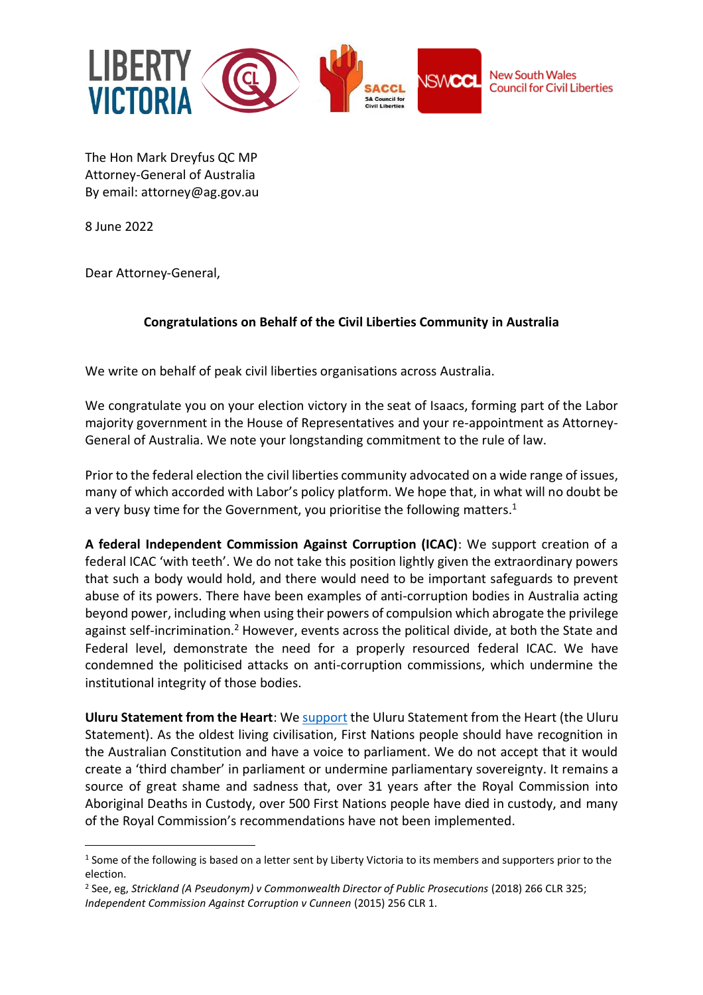

The Hon Mark Dreyfus QC MP Attorney-General of Australia By email: [attorney@ag.gov.au](mailto:mark.dreyfus.mp@apg.gov.au)

8 June 2022

Dear Attorney-General,

## **Congratulations on Behalf of the Civil Liberties Community in Australia**

We write on behalf of peak civil liberties organisations across Australia.

We congratulate you on your election victory in the seat of Isaacs, forming part of the Labor majority government in the House of Representatives and your re-appointment as Attorney-General of Australia. We note your longstanding commitment to the rule of law.

Prior to the federal election the civil liberties community advocated on a wide range of issues, many of which accorded with Labor's policy platform. We hope that, in what will no doubt be a very busy time for the Government, you prioritise the following matters.<sup>1</sup>

**A federal Independent Commission Against Corruption (ICAC)**: We support creation of a federal ICAC 'with teeth'. We do not take this position lightly given the extraordinary powers that such a body would hold, and there would need to be important safeguards to prevent abuse of its powers. There have been examples of anti-corruption bodies in Australia acting beyond power, including when using their powers of compulsion which abrogate the privilege against self-incrimination.<sup>2</sup> However, events across the political divide, at both the State and Federal level, demonstrate the need for a properly resourced federal ICAC. We have condemned the politicised attacks on anti-corruption commissions, which undermine the institutional integrity of those bodies.

**Uluru Statement from the Heart**: We [support](https://libertyvictoria.org.au/content/submission-support-uluru-statement-heart) the Uluru Statement from the Heart (the Uluru Statement). As the oldest living civilisation, First Nations people should have recognition in the Australian Constitution and have a voice to parliament. We do not accept that it would create a 'third chamber' in parliament or undermine parliamentary sovereignty. It remains a source of great shame and sadness that, over 31 years after the Royal Commission into Aboriginal Deaths in Custody, over 500 First Nations people have died in custody, and many of the Royal Commission's recommendations have not been implemented.

<sup>&</sup>lt;sup>1</sup> Some of the following is based on a letter sent by Liberty Victoria to its members and supporters prior to the election.

<sup>2</sup> See, eg, *Strickland (A Pseudonym) v Commonwealth Director of Public Prosecutions* (2018) 266 CLR 325; *Independent Commission Against Corruption v Cunneen* (2015) 256 CLR 1.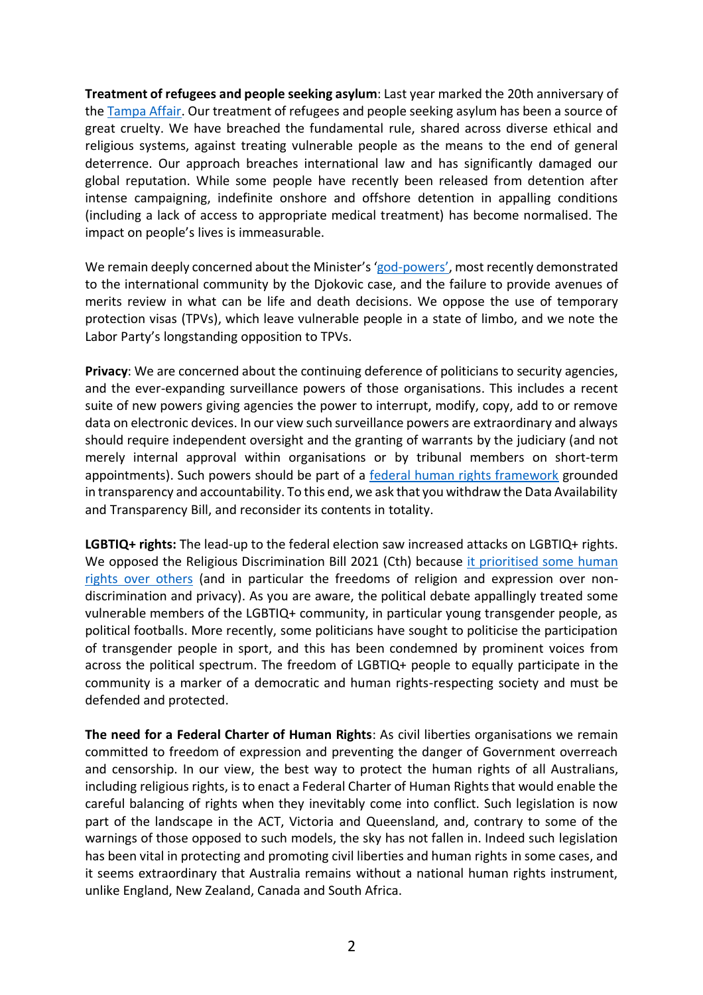**Treatment of refugees and people seeking asylum**: Last year marked the 20th anniversary of the [Tampa Affair.](https://libertyvictoria.org.au/content/20th-anniversary-tampa-affair) Our treatment of refugees and people seeking asylum has been a source of great cruelty. We have breached the fundamental rule, shared across diverse ethical and religious systems, against treating vulnerable people as the means to the end of general deterrence. Our approach breaches international law and has significantly damaged our global reputation. While some people have recently been released from detention after intense campaigning, indefinite onshore and offshore detention in appalling conditions (including a lack of access to appropriate medical treatment) has become normalised. The impact on people's lives is immeasurable.

We remain deeply concerned about the Minister's'god-[powers'](https://libertyvictoria.org.au/content/playing-god-immigration-minister%E2%80%99s-unrestrained-power), most recently demonstrated to the international community by the Djokovic case, and the failure to provide avenues of merits review in what can be life and death decisions. We oppose the use of temporary protection visas (TPVs), which leave vulnerable people in a state of limbo, and we note the Labor Party's longstanding opposition to TPVs.

**Privacy**: We are concerned about the continuing deference of politicians to security agencies, and the ever-expanding surveillance powers of those organisations. This includes a recent suite of new powers giving agencies the power to interrupt, modify, copy, add to or remove data on electronic devices. In our view such surveillance powers are extraordinary and always should require independent oversight and the granting of warrants by the judiciary (and not merely internal approval within organisations or by tribunal members on short-term appointments). Such powers should be part of a [federal human rights framework](https://www.innovationaus.com/surveillance-laws-reform-a-chance-to-protect-human-rights/) grounded in transparency and accountability. To this end, we ask that you withdraw the Data Availability and Transparency Bill, and reconsider its contents in totality.

**LGBTIQ+ rights:** The lead-up to the federal election saw increased attacks on LGBTIQ+ rights. We opposed the Religious Discrimination Bill 2021 (Cth) because [it prioritised some human](https://libertyvictoria.org.au/content/liberty-victoria-statement-religious-discrimination-bill#:~:text=Liberty%20Victoria%20calls%20on%20all,education%20and%20other%20vital%20services.)  [rights over others](https://libertyvictoria.org.au/content/liberty-victoria-statement-religious-discrimination-bill#:~:text=Liberty%20Victoria%20calls%20on%20all,education%20and%20other%20vital%20services.) (and in particular the freedoms of religion and expression over nondiscrimination and privacy). As you are aware, the political debate appallingly treated some vulnerable members of the LGBTIQ+ community, in particular young transgender people, as political footballs. More recently, some politicians have sought to politicise the participation of transgender people in sport, and this has been condemned by prominent voices from across the political spectrum. The freedom of LGBTIQ+ people to equally participate in the community is a marker of a democratic and human rights-respecting society and must be defended and protected.

**The need for a Federal Charter of Human Rights**: As civil liberties organisations we remain committed to freedom of expression and preventing the danger of Government overreach and censorship. In our view, the best way to protect the human rights of all Australians, including religious rights, is to enact a Federal Charter of Human Rights that would enable the careful balancing of rights when they inevitably come into conflict. Such legislation is now part of the landscape in the ACT, Victoria and Queensland, and, contrary to some of the warnings of those opposed to such models, the sky has not fallen in. Indeed such legislation has been vital in protecting and promoting civil liberties and human rights in some cases, and it seems extraordinary that Australia remains without a national human rights instrument, unlike England, New Zealand, Canada and South Africa.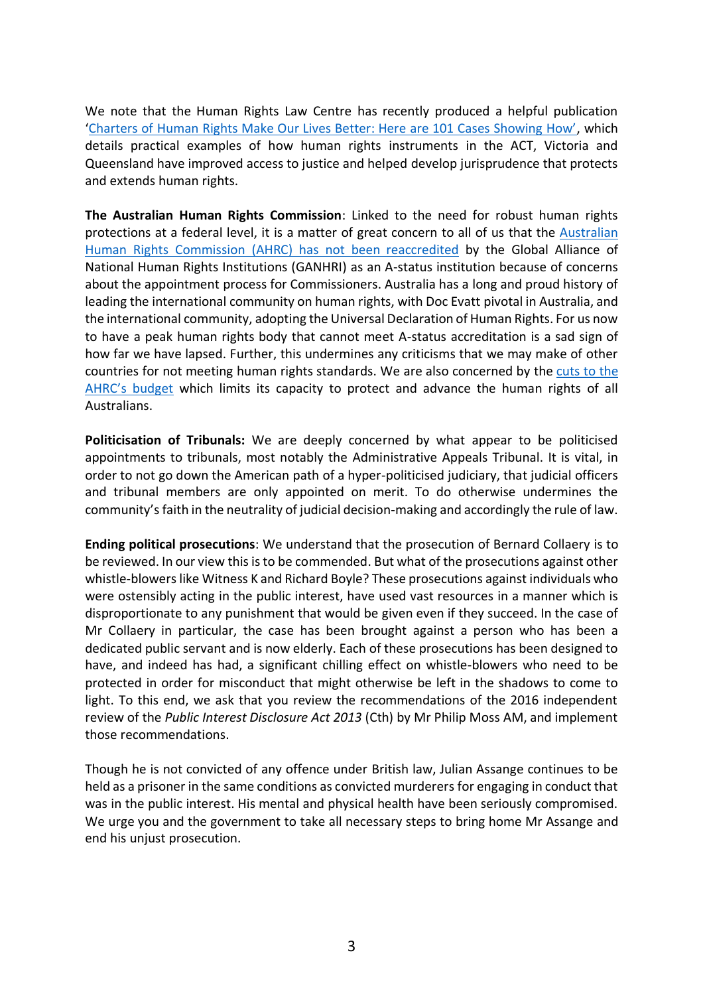We note that the Human Rights Law Centre has recently produced a helpful publication ['Charters of Human Rights Make Our Lives Better: Here are 101 Cases Showing How'](https://static1.squarespace.com/static/580025f66b8f5b2dabbe4291/t/62952d419ab542440dc23f65/1653943661284/Charter_of_rights_101_cases.pdf), which details practical examples of how human rights instruments in the ACT, Victoria and Queensland have improved access to justice and helped develop jurisprudence that protects and extends human rights.

**The Australian Human Rights Commission**: Linked to the need for robust human rights protections at a federal level, it is a matter of great concern to all of us that the [Australian](https://humanrights.gov.au/about/news/statement-international-accreditation-australian-human-rights-commission)  [Human Rights Commission](https://humanrights.gov.au/about/news/statement-international-accreditation-australian-human-rights-commission) (AHRC) has not been reaccredited by the Global Alliance of National Human Rights Institutions (GANHRI) as an A-status institution because of concerns about the appointment process for Commissioners. Australia has a long and proud history of leading the international community on human rights, with Doc Evatt pivotal in Australia, and the international community, adopting the Universal Declaration of Human Rights. For us now to have a peak human rights body that cannot meet A-status accreditation is a sad sign of how far we have lapsed. Further, this undermines any criticisms that we may make of other countries for not meeting human rights standards. We are also concerned by the [cuts to the](https://theconversation.com/budget-cuts-to-the-australian-human-rights-commission-couldnt-have-come-at-a-worse-time-180308)  [AHRC's budget](https://theconversation.com/budget-cuts-to-the-australian-human-rights-commission-couldnt-have-come-at-a-worse-time-180308) which limits its capacity to protect and advance the human rights of all Australians.

**Politicisation of Tribunals:** We are deeply concerned by what appear to be politicised appointments to tribunals, most notably the Administrative Appeals Tribunal. It is vital, in order to not go down the American path of a hyper-politicised judiciary, that judicial officers and tribunal members are only appointed on merit. To do otherwise undermines the community's faith in the neutrality of judicial decision-making and accordingly the rule of law.

**Ending political prosecutions**: We understand that the prosecution of Bernard Collaery is to be reviewed. In our view this is to be commended. But what of the prosecutions against other whistle-blowers like Witness K and Richard Boyle? These prosecutions against individuals who were ostensibly acting in the public interest, have used vast resources in a manner which is disproportionate to any punishment that would be given even if they succeed. In the case of Mr Collaery in particular, the case has been brought against a person who has been a dedicated public servant and is now elderly. Each of these prosecutions has been designed to have, and indeed has had, a significant chilling effect on whistle-blowers who need to be protected in order for misconduct that might otherwise be left in the shadows to come to light. To this end, we ask that you review the recommendations of the 2016 independent review of the *Public Interest Disclosure Act 2013* (Cth) by Mr Philip Moss AM, and implement those recommendations.

Though he is not convicted of any offence under British law, Julian Assange continues to be held as a prisoner in the same conditions as convicted murderers for engaging in conduct that was in the public interest. His mental and physical health have been seriously compromised. We urge you and the government to take all necessary steps to bring home Mr Assange and end his unjust prosecution.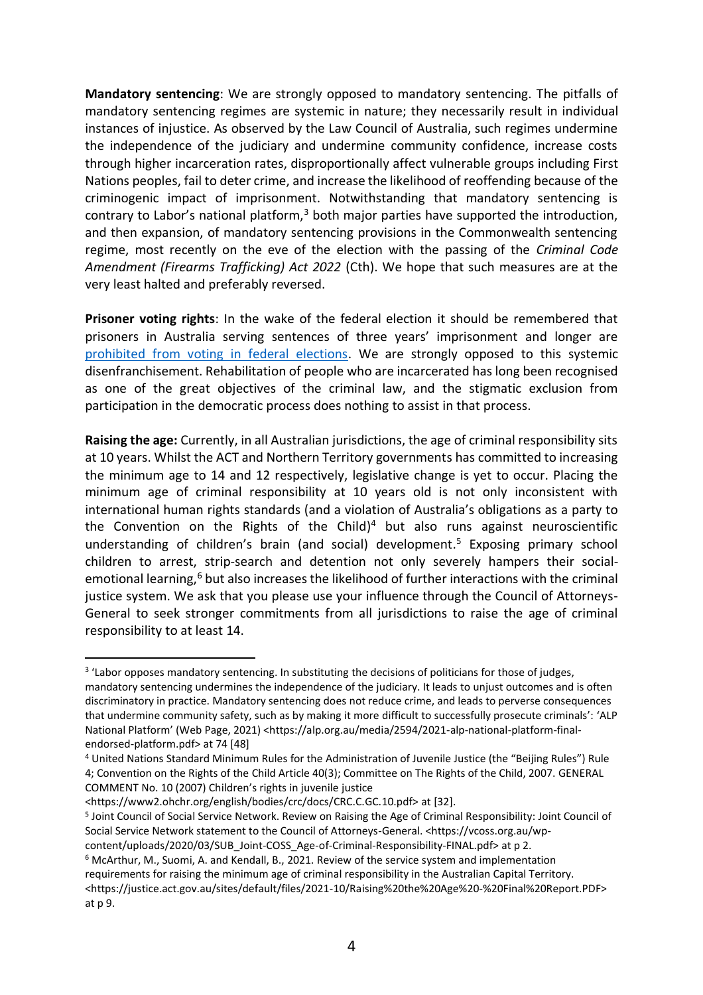**Mandatory sentencing**: We are strongly opposed to mandatory sentencing. The pitfalls of mandatory sentencing regimes are systemic in nature; they necessarily result in individual instances of injustice. As observed by the Law Council of Australia, such regimes undermine the independence of the judiciary and undermine community confidence, increase costs through higher incarceration rates, disproportionally affect vulnerable groups including First Nations peoples, fail to deter crime, and increase the likelihood of reoffending because of the criminogenic impact of imprisonment. Notwithstanding that mandatory sentencing is contrary to Labor's national platform, $3$  both major parties have supported the introduction, and then expansion, of mandatory sentencing provisions in the Commonwealth sentencing regime, most recently on the eve of the election with the passing of the *Criminal Code Amendment (Firearms Trafficking) Act 2022* (Cth). We hope that such measures are at the very least halted and preferably reversed.

**Prisoner voting rights**: In the wake of the federal election it should be remembered that prisoners in Australia serving sentences of three years' imprisonment and longer are [prohibited from voting in federal elections.](https://www.aec.gov.au/Enrolling_to_vote/files/fact-sheet-enrolling-and-voting-from-prison.pdf) We are strongly opposed to this systemic disenfranchisement. Rehabilitation of people who are incarcerated has long been recognised as one of the great objectives of the criminal law, and the stigmatic exclusion from participation in the democratic process does nothing to assist in that process.

**Raising the age:** Currently, in all Australian jurisdictions, the age of criminal responsibility sits at 10 years. Whilst the ACT and Northern Territory governments has committed to increasing the minimum age to 14 and 12 respectively, legislative change is yet to occur. Placing the minimum age of criminal responsibility at 10 years old is not only inconsistent with international human rights standards (and a violation of Australia's obligations as a party to the Convention on the Rights of the Child) <sup>4</sup> but also runs against neuroscientific understanding of children's brain (and social) development. <sup>5</sup> Exposing primary school children to arrest, strip-search and detention not only severely hampers their socialemotional learning, $6$  but also increases the likelihood of further interactions with the criminal justice system. We ask that you please use your influence through the Council of Attorneys-General to seek stronger commitments from all jurisdictions to raise the age of criminal responsibility to at least 14.

<https://www2.ohchr.org/english/bodies/crc/docs/CRC.C.GC.10.pdf> at [32].

<sup>&</sup>lt;sup>3</sup> 'Labor opposes mandatory sentencing. In substituting the decisions of politicians for those of judges, mandatory sentencing undermines the independence of the judiciary. It leads to unjust outcomes and is often discriminatory in practice. Mandatory sentencing does not reduce crime, and leads to perverse consequences that undermine community safety, such as by making it more difficult to successfully prosecute criminals': 'ALP National Platform' (Web Page, 2021) <https://alp.org.au/media/2594/2021-alp-national-platform-finalendorsed-platform.pdf> at 74 [48]

<sup>4</sup> United Nations Standard Minimum Rules for the Administration of Juvenile Justice (the "Beijing Rules") Rule 4; Convention on the Rights of the Child Article 40(3); Committee on The Rights of the Child, 2007. GENERAL COMMENT No. 10 (2007) Children's rights in juvenile justice

<sup>5</sup> Joint Council of Social Service Network. Review on Raising the Age of Criminal Responsibility: Joint Council of Social Service Network statement to the Council of Attorneys-General. <https://vcoss.org.au/wpcontent/uploads/2020/03/SUB\_Joint-COSS\_Age-of-Criminal-Responsibility-FINAL.pdf> at p 2.

<sup>6</sup> McArthur, M., Suomi, A. and Kendall, B., 2021. Review of the service system and implementation requirements for raising the minimum age of criminal responsibility in the Australian Capital Territory. <https://justice.act.gov.au/sites/default/files/2021-10/Raising%20the%20Age%20-%20Final%20Report.PDF> at p 9.